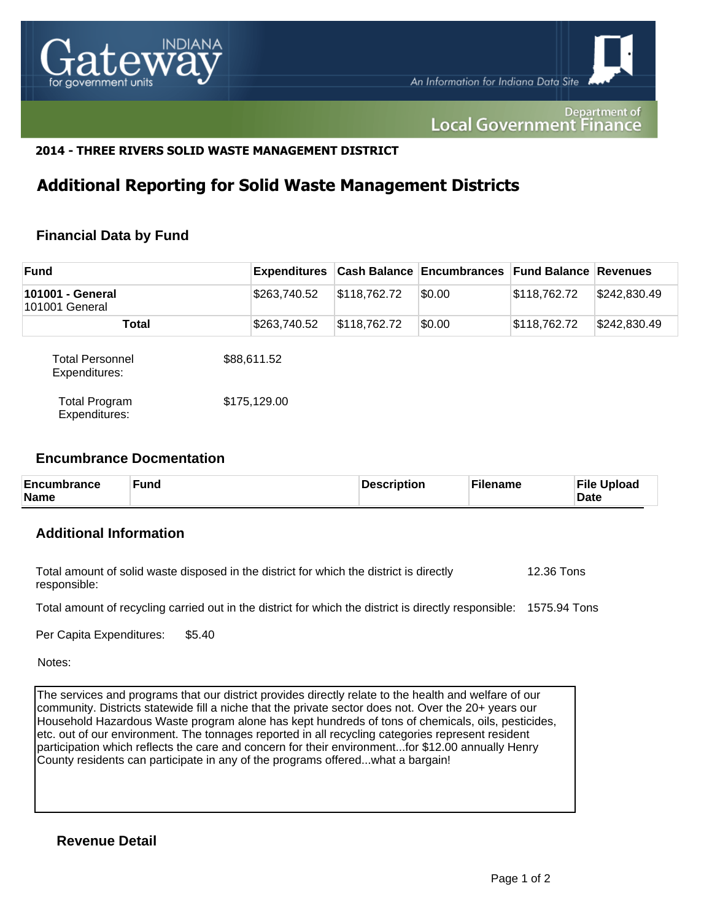

Department of **Local Government Finance** 

## **2014 - THREE RIVERS SOLID WASTE MANAGEMENT DISTRICT**

## **Additional Reporting for Solid Waste Management Districts**

## **Financial Data by Fund**

| <b>Fund</b>                           | Expenditures |              | <b>Cash Balance Encumbrances Fund Balance Revenues</b> |              |              |
|---------------------------------------|--------------|--------------|--------------------------------------------------------|--------------|--------------|
| 101001 - General<br>101001 General    | \$263,740.52 | \$118,762.72 | \$0.00                                                 | \$118,762.72 | \$242,830.49 |
| <b>Total</b>                          | \$263,740.52 | \$118,762.72 | \$0.00                                                 | \$118,762.72 | \$242,830.49 |
| Total Personnel<br>Expenditures:      | \$88,611.52  |              |                                                        |              |              |
| <b>Total Program</b><br>Expenditures: | \$175,129.00 |              |                                                        |              |              |

#### **Encumbrance Docmentation**

| Encumbrance<br><b>Fund</b><br><b>Name</b> | <b>Description</b> | <b>Filename</b> | <b>File Upload</b><br><b>Date</b> |
|-------------------------------------------|--------------------|-----------------|-----------------------------------|
|-------------------------------------------|--------------------|-----------------|-----------------------------------|

## **Additional Information**

| Total amount of solid waste disposed in the district for which the district is directly | 12.36 Tons |
|-----------------------------------------------------------------------------------------|------------|
| responsible:                                                                            |            |

Total amount of recycling carried out in the district for which the district is directly responsible: 1575.94 Tons

Per Capita Expenditures: \$5.40

Notes:

The services and programs that our district provides directly relate to the health and welfare of our community. Districts statewide fill a niche that the private sector does not. Over the 20+ years our Household Hazardous Waste program alone has kept hundreds of tons of chemicals, oils, pesticides, etc. out of our environment. The tonnages reported in all recycling categories represent resident participation which reflects the care and concern for their environment...for \$12.00 annually Henry County residents can participate in any of the programs offered...what a bargain!